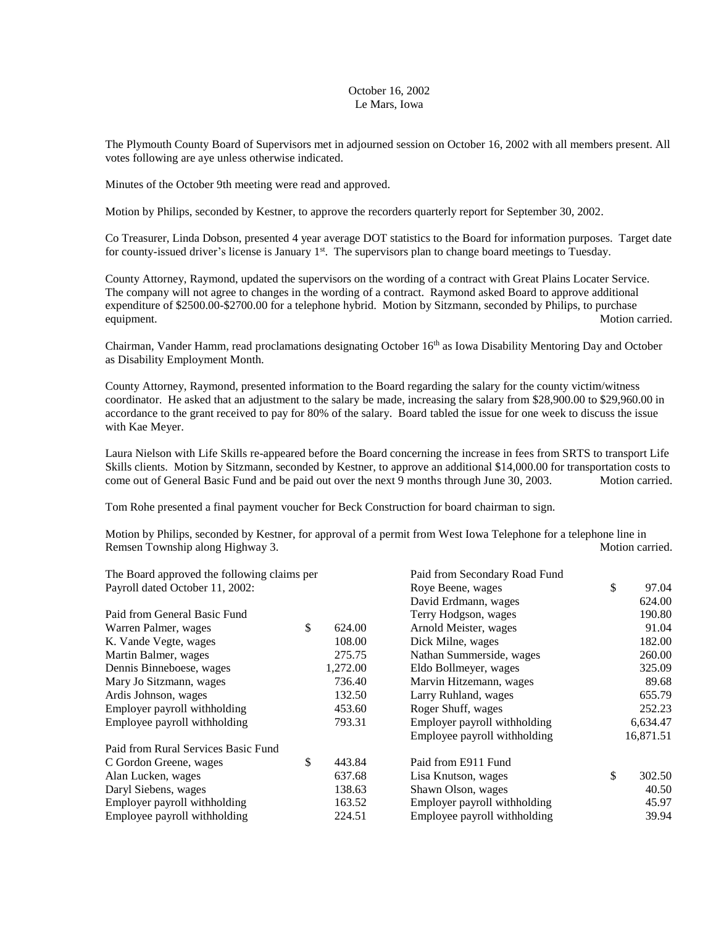## October 16, 2002 Le Mars, Iowa

The Plymouth County Board of Supervisors met in adjourned session on October 16, 2002 with all members present. All votes following are aye unless otherwise indicated.

Minutes of the October 9th meeting were read and approved.

Motion by Philips, seconded by Kestner, to approve the recorders quarterly report for September 30, 2002.

Co Treasurer, Linda Dobson, presented 4 year average DOT statistics to the Board for information purposes. Target date for county-issued driver's license is January  $1<sup>st</sup>$ . The supervisors plan to change board meetings to Tuesday.

County Attorney, Raymond, updated the supervisors on the wording of a contract with Great Plains Locater Service. The company will not agree to changes in the wording of a contract. Raymond asked Board to approve additional expenditure of \$2500.00-\$2700.00 for a telephone hybrid. Motion by Sitzmann, seconded by Philips, to purchase equipment. Motion carried.

Chairman, Vander Hamm, read proclamations designating October 16<sup>th</sup> as Iowa Disability Mentoring Day and October as Disability Employment Month.

County Attorney, Raymond, presented information to the Board regarding the salary for the county victim/witness coordinator. He asked that an adjustment to the salary be made, increasing the salary from \$28,900.00 to \$29,960.00 in accordance to the grant received to pay for 80% of the salary. Board tabled the issue for one week to discuss the issue with Kae Meyer.

Laura Nielson with Life Skills re-appeared before the Board concerning the increase in fees from SRTS to transport Life Skills clients. Motion by Sitzmann, seconded by Kestner, to approve an additional \$14,000.00 for transportation costs to come out of General Basic Fund and be paid out over the next 9 months through June 30, 2003. Motion carried.

Tom Rohe presented a final payment voucher for Beck Construction for board chairman to sign.

Motion by Philips, seconded by Kestner, for approval of a permit from West Iowa Telephone for a telephone line in<br>Remsen Townshin along Highway 3. Remsen Township along Highway 3.

| The Board approved the following claims per |    |          | Paid from Secondary Road Fund |    |           |
|---------------------------------------------|----|----------|-------------------------------|----|-----------|
| Payroll dated October 11, 2002:             |    |          | Roye Beene, wages             |    | 97.04     |
|                                             |    |          | David Erdmann, wages          |    | 624.00    |
| Paid from General Basic Fund                |    |          | Terry Hodgson, wages          |    | 190.80    |
| Warren Palmer, wages                        | \$ | 624.00   | Arnold Meister, wages         |    | 91.04     |
| K. Vande Vegte, wages                       |    | 108.00   | Dick Milne, wages             |    | 182.00    |
| Martin Balmer, wages                        |    | 275.75   | Nathan Summerside, wages      |    | 260.00    |
| Dennis Binneboese, wages                    |    | 1,272.00 | Eldo Bollmeyer, wages         |    | 325.09    |
| Mary Jo Sitzmann, wages                     |    | 736.40   | Marvin Hitzemann, wages       |    | 89.68     |
| Ardis Johnson, wages                        |    | 132.50   | Larry Ruhland, wages          |    | 655.79    |
| Employer payroll withholding                |    | 453.60   | Roger Shuff, wages            |    | 252.23    |
| Employee payroll withholding                |    | 793.31   | Employer payroll withholding  |    | 6,634.47  |
|                                             |    |          | Employee payroll withholding  |    | 16,871.51 |
| Paid from Rural Services Basic Fund         |    |          |                               |    |           |
| C Gordon Greene, wages                      | \$ | 443.84   | Paid from E911 Fund           |    |           |
| Alan Lucken, wages                          |    | 637.68   | Lisa Knutson, wages           | \$ | 302.50    |
| Daryl Siebens, wages                        |    | 138.63   | Shawn Olson, wages            |    | 40.50     |
| Employer payroll withholding                |    | 163.52   | Employer payroll withholding  |    | 45.97     |
| Employee payroll withholding                |    | 224.51   | Employee payroll withholding  |    | 39.94     |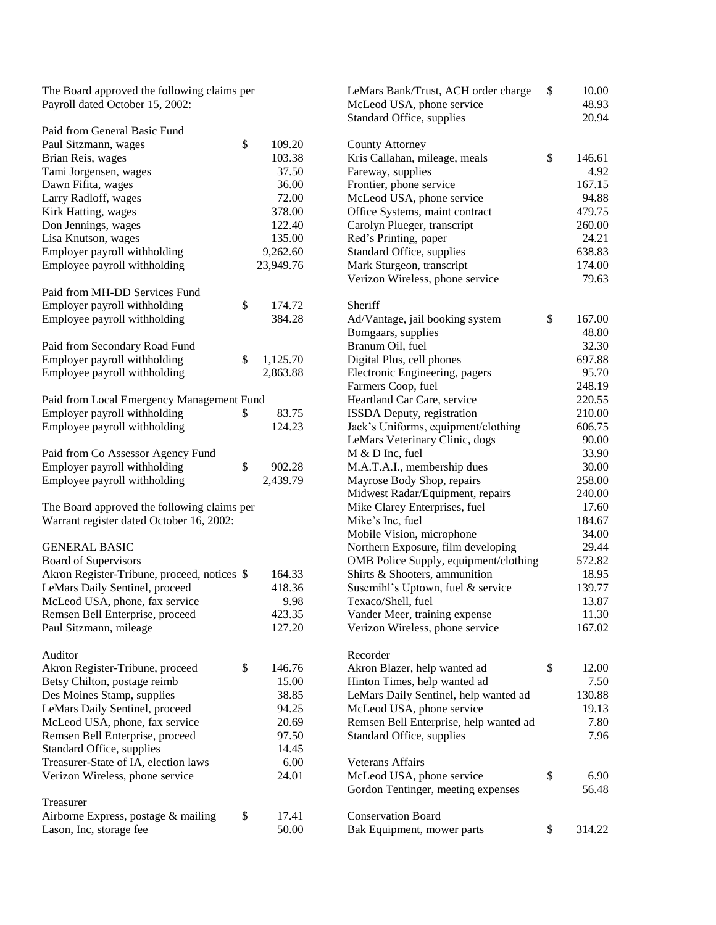The Board approved the following claims per Payroll dated October 15, 2002:

| \$<br>109.20<br>Paul Sitzmann, wages<br>Brian Reis, wages<br>103.38<br>37.50<br>Tami Jorgensen, wages<br>Dawn Fifita, wages<br>36.00<br>Larry Radloff, wages<br>72.00<br>Kirk Hatting, wages<br>378.00<br>Don Jennings, wages<br>122.40<br>Lisa Knutson, wages<br>135.00<br>Employer payroll withholding<br>9,262.60<br>Employee payroll withholding<br>23,949.76<br>Paid from MH-DD Services Fund<br>\$<br>Employer payroll withholding<br>174.72<br>Employee payroll withholding<br>384.28<br>Paid from Secondary Road Fund<br>Employer payroll withholding<br>\$<br>1,125.70<br>Employee payroll withholding<br>2,863.88<br>Paid from Local Emergency Management Fund<br>Employer payroll withholding<br>83.75<br>\$<br>Employee payroll withholding<br>124.23<br>Paid from Co Assessor Agency Fund<br>Employer payroll withholding<br>\$<br>902.28<br>Employee payroll withholding<br>2,439.79<br>The Board approved the following claims per<br>Warrant register dated October 16, 2002:<br><b>GENERAL BASIC</b><br><b>Board of Supervisors</b><br>Akron Register-Tribune, proceed, notices \$<br>164.33<br>LeMars Daily Sentinel, proceed<br>418.36<br>McLeod USA, phone, fax service<br>9.98<br>Remsen Bell Enterprise, proceed<br>423.35<br>Paul Sitzmann, mileage<br>127.20<br>Auditor<br>Akron Register-Tribune, proceed<br>\$<br>146.76<br>Betsy Chilton, postage reimb<br>15.00<br>Des Moines Stamp, supplies<br>38.85<br>LeMars Daily Sentinel, proceed<br>94.25<br>McLeod USA, phone, fax service<br>20.69<br>97.50<br>Remsen Bell Enterprise, proceed<br>Standard Office, supplies<br>14.45<br>Treasurer-State of IA, election laws<br>6.00<br>24.01<br>Verizon Wireless, phone service<br>Treasurer<br>\$<br>17.41<br>Airborne Express, postage & mailing<br>Lason, Inc, storage fee<br>50.00 | Paid from General Basic Fund |  |  |
|---------------------------------------------------------------------------------------------------------------------------------------------------------------------------------------------------------------------------------------------------------------------------------------------------------------------------------------------------------------------------------------------------------------------------------------------------------------------------------------------------------------------------------------------------------------------------------------------------------------------------------------------------------------------------------------------------------------------------------------------------------------------------------------------------------------------------------------------------------------------------------------------------------------------------------------------------------------------------------------------------------------------------------------------------------------------------------------------------------------------------------------------------------------------------------------------------------------------------------------------------------------------------------------------------------------------------------------------------------------------------------------------------------------------------------------------------------------------------------------------------------------------------------------------------------------------------------------------------------------------------------------------------------------------------------------------------------------------------------------------------------------------------------------------------------------|------------------------------|--|--|
|                                                                                                                                                                                                                                                                                                                                                                                                                                                                                                                                                                                                                                                                                                                                                                                                                                                                                                                                                                                                                                                                                                                                                                                                                                                                                                                                                                                                                                                                                                                                                                                                                                                                                                                                                                                                               |                              |  |  |
|                                                                                                                                                                                                                                                                                                                                                                                                                                                                                                                                                                                                                                                                                                                                                                                                                                                                                                                                                                                                                                                                                                                                                                                                                                                                                                                                                                                                                                                                                                                                                                                                                                                                                                                                                                                                               |                              |  |  |
|                                                                                                                                                                                                                                                                                                                                                                                                                                                                                                                                                                                                                                                                                                                                                                                                                                                                                                                                                                                                                                                                                                                                                                                                                                                                                                                                                                                                                                                                                                                                                                                                                                                                                                                                                                                                               |                              |  |  |
|                                                                                                                                                                                                                                                                                                                                                                                                                                                                                                                                                                                                                                                                                                                                                                                                                                                                                                                                                                                                                                                                                                                                                                                                                                                                                                                                                                                                                                                                                                                                                                                                                                                                                                                                                                                                               |                              |  |  |
|                                                                                                                                                                                                                                                                                                                                                                                                                                                                                                                                                                                                                                                                                                                                                                                                                                                                                                                                                                                                                                                                                                                                                                                                                                                                                                                                                                                                                                                                                                                                                                                                                                                                                                                                                                                                               |                              |  |  |
|                                                                                                                                                                                                                                                                                                                                                                                                                                                                                                                                                                                                                                                                                                                                                                                                                                                                                                                                                                                                                                                                                                                                                                                                                                                                                                                                                                                                                                                                                                                                                                                                                                                                                                                                                                                                               |                              |  |  |
|                                                                                                                                                                                                                                                                                                                                                                                                                                                                                                                                                                                                                                                                                                                                                                                                                                                                                                                                                                                                                                                                                                                                                                                                                                                                                                                                                                                                                                                                                                                                                                                                                                                                                                                                                                                                               |                              |  |  |
|                                                                                                                                                                                                                                                                                                                                                                                                                                                                                                                                                                                                                                                                                                                                                                                                                                                                                                                                                                                                                                                                                                                                                                                                                                                                                                                                                                                                                                                                                                                                                                                                                                                                                                                                                                                                               |                              |  |  |
|                                                                                                                                                                                                                                                                                                                                                                                                                                                                                                                                                                                                                                                                                                                                                                                                                                                                                                                                                                                                                                                                                                                                                                                                                                                                                                                                                                                                                                                                                                                                                                                                                                                                                                                                                                                                               |                              |  |  |
|                                                                                                                                                                                                                                                                                                                                                                                                                                                                                                                                                                                                                                                                                                                                                                                                                                                                                                                                                                                                                                                                                                                                                                                                                                                                                                                                                                                                                                                                                                                                                                                                                                                                                                                                                                                                               |                              |  |  |
|                                                                                                                                                                                                                                                                                                                                                                                                                                                                                                                                                                                                                                                                                                                                                                                                                                                                                                                                                                                                                                                                                                                                                                                                                                                                                                                                                                                                                                                                                                                                                                                                                                                                                                                                                                                                               |                              |  |  |
|                                                                                                                                                                                                                                                                                                                                                                                                                                                                                                                                                                                                                                                                                                                                                                                                                                                                                                                                                                                                                                                                                                                                                                                                                                                                                                                                                                                                                                                                                                                                                                                                                                                                                                                                                                                                               |                              |  |  |
|                                                                                                                                                                                                                                                                                                                                                                                                                                                                                                                                                                                                                                                                                                                                                                                                                                                                                                                                                                                                                                                                                                                                                                                                                                                                                                                                                                                                                                                                                                                                                                                                                                                                                                                                                                                                               |                              |  |  |
|                                                                                                                                                                                                                                                                                                                                                                                                                                                                                                                                                                                                                                                                                                                                                                                                                                                                                                                                                                                                                                                                                                                                                                                                                                                                                                                                                                                                                                                                                                                                                                                                                                                                                                                                                                                                               |                              |  |  |
|                                                                                                                                                                                                                                                                                                                                                                                                                                                                                                                                                                                                                                                                                                                                                                                                                                                                                                                                                                                                                                                                                                                                                                                                                                                                                                                                                                                                                                                                                                                                                                                                                                                                                                                                                                                                               |                              |  |  |
|                                                                                                                                                                                                                                                                                                                                                                                                                                                                                                                                                                                                                                                                                                                                                                                                                                                                                                                                                                                                                                                                                                                                                                                                                                                                                                                                                                                                                                                                                                                                                                                                                                                                                                                                                                                                               |                              |  |  |
|                                                                                                                                                                                                                                                                                                                                                                                                                                                                                                                                                                                                                                                                                                                                                                                                                                                                                                                                                                                                                                                                                                                                                                                                                                                                                                                                                                                                                                                                                                                                                                                                                                                                                                                                                                                                               |                              |  |  |
|                                                                                                                                                                                                                                                                                                                                                                                                                                                                                                                                                                                                                                                                                                                                                                                                                                                                                                                                                                                                                                                                                                                                                                                                                                                                                                                                                                                                                                                                                                                                                                                                                                                                                                                                                                                                               |                              |  |  |
|                                                                                                                                                                                                                                                                                                                                                                                                                                                                                                                                                                                                                                                                                                                                                                                                                                                                                                                                                                                                                                                                                                                                                                                                                                                                                                                                                                                                                                                                                                                                                                                                                                                                                                                                                                                                               |                              |  |  |
|                                                                                                                                                                                                                                                                                                                                                                                                                                                                                                                                                                                                                                                                                                                                                                                                                                                                                                                                                                                                                                                                                                                                                                                                                                                                                                                                                                                                                                                                                                                                                                                                                                                                                                                                                                                                               |                              |  |  |
|                                                                                                                                                                                                                                                                                                                                                                                                                                                                                                                                                                                                                                                                                                                                                                                                                                                                                                                                                                                                                                                                                                                                                                                                                                                                                                                                                                                                                                                                                                                                                                                                                                                                                                                                                                                                               |                              |  |  |
|                                                                                                                                                                                                                                                                                                                                                                                                                                                                                                                                                                                                                                                                                                                                                                                                                                                                                                                                                                                                                                                                                                                                                                                                                                                                                                                                                                                                                                                                                                                                                                                                                                                                                                                                                                                                               |                              |  |  |
|                                                                                                                                                                                                                                                                                                                                                                                                                                                                                                                                                                                                                                                                                                                                                                                                                                                                                                                                                                                                                                                                                                                                                                                                                                                                                                                                                                                                                                                                                                                                                                                                                                                                                                                                                                                                               |                              |  |  |
|                                                                                                                                                                                                                                                                                                                                                                                                                                                                                                                                                                                                                                                                                                                                                                                                                                                                                                                                                                                                                                                                                                                                                                                                                                                                                                                                                                                                                                                                                                                                                                                                                                                                                                                                                                                                               |                              |  |  |
|                                                                                                                                                                                                                                                                                                                                                                                                                                                                                                                                                                                                                                                                                                                                                                                                                                                                                                                                                                                                                                                                                                                                                                                                                                                                                                                                                                                                                                                                                                                                                                                                                                                                                                                                                                                                               |                              |  |  |
|                                                                                                                                                                                                                                                                                                                                                                                                                                                                                                                                                                                                                                                                                                                                                                                                                                                                                                                                                                                                                                                                                                                                                                                                                                                                                                                                                                                                                                                                                                                                                                                                                                                                                                                                                                                                               |                              |  |  |
|                                                                                                                                                                                                                                                                                                                                                                                                                                                                                                                                                                                                                                                                                                                                                                                                                                                                                                                                                                                                                                                                                                                                                                                                                                                                                                                                                                                                                                                                                                                                                                                                                                                                                                                                                                                                               |                              |  |  |
|                                                                                                                                                                                                                                                                                                                                                                                                                                                                                                                                                                                                                                                                                                                                                                                                                                                                                                                                                                                                                                                                                                                                                                                                                                                                                                                                                                                                                                                                                                                                                                                                                                                                                                                                                                                                               |                              |  |  |
|                                                                                                                                                                                                                                                                                                                                                                                                                                                                                                                                                                                                                                                                                                                                                                                                                                                                                                                                                                                                                                                                                                                                                                                                                                                                                                                                                                                                                                                                                                                                                                                                                                                                                                                                                                                                               |                              |  |  |
|                                                                                                                                                                                                                                                                                                                                                                                                                                                                                                                                                                                                                                                                                                                                                                                                                                                                                                                                                                                                                                                                                                                                                                                                                                                                                                                                                                                                                                                                                                                                                                                                                                                                                                                                                                                                               |                              |  |  |
|                                                                                                                                                                                                                                                                                                                                                                                                                                                                                                                                                                                                                                                                                                                                                                                                                                                                                                                                                                                                                                                                                                                                                                                                                                                                                                                                                                                                                                                                                                                                                                                                                                                                                                                                                                                                               |                              |  |  |
|                                                                                                                                                                                                                                                                                                                                                                                                                                                                                                                                                                                                                                                                                                                                                                                                                                                                                                                                                                                                                                                                                                                                                                                                                                                                                                                                                                                                                                                                                                                                                                                                                                                                                                                                                                                                               |                              |  |  |
|                                                                                                                                                                                                                                                                                                                                                                                                                                                                                                                                                                                                                                                                                                                                                                                                                                                                                                                                                                                                                                                                                                                                                                                                                                                                                                                                                                                                                                                                                                                                                                                                                                                                                                                                                                                                               |                              |  |  |
|                                                                                                                                                                                                                                                                                                                                                                                                                                                                                                                                                                                                                                                                                                                                                                                                                                                                                                                                                                                                                                                                                                                                                                                                                                                                                                                                                                                                                                                                                                                                                                                                                                                                                                                                                                                                               |                              |  |  |
|                                                                                                                                                                                                                                                                                                                                                                                                                                                                                                                                                                                                                                                                                                                                                                                                                                                                                                                                                                                                                                                                                                                                                                                                                                                                                                                                                                                                                                                                                                                                                                                                                                                                                                                                                                                                               |                              |  |  |
|                                                                                                                                                                                                                                                                                                                                                                                                                                                                                                                                                                                                                                                                                                                                                                                                                                                                                                                                                                                                                                                                                                                                                                                                                                                                                                                                                                                                                                                                                                                                                                                                                                                                                                                                                                                                               |                              |  |  |
|                                                                                                                                                                                                                                                                                                                                                                                                                                                                                                                                                                                                                                                                                                                                                                                                                                                                                                                                                                                                                                                                                                                                                                                                                                                                                                                                                                                                                                                                                                                                                                                                                                                                                                                                                                                                               |                              |  |  |
|                                                                                                                                                                                                                                                                                                                                                                                                                                                                                                                                                                                                                                                                                                                                                                                                                                                                                                                                                                                                                                                                                                                                                                                                                                                                                                                                                                                                                                                                                                                                                                                                                                                                                                                                                                                                               |                              |  |  |
|                                                                                                                                                                                                                                                                                                                                                                                                                                                                                                                                                                                                                                                                                                                                                                                                                                                                                                                                                                                                                                                                                                                                                                                                                                                                                                                                                                                                                                                                                                                                                                                                                                                                                                                                                                                                               |                              |  |  |
|                                                                                                                                                                                                                                                                                                                                                                                                                                                                                                                                                                                                                                                                                                                                                                                                                                                                                                                                                                                                                                                                                                                                                                                                                                                                                                                                                                                                                                                                                                                                                                                                                                                                                                                                                                                                               |                              |  |  |
|                                                                                                                                                                                                                                                                                                                                                                                                                                                                                                                                                                                                                                                                                                                                                                                                                                                                                                                                                                                                                                                                                                                                                                                                                                                                                                                                                                                                                                                                                                                                                                                                                                                                                                                                                                                                               |                              |  |  |
|                                                                                                                                                                                                                                                                                                                                                                                                                                                                                                                                                                                                                                                                                                                                                                                                                                                                                                                                                                                                                                                                                                                                                                                                                                                                                                                                                                                                                                                                                                                                                                                                                                                                                                                                                                                                               |                              |  |  |
|                                                                                                                                                                                                                                                                                                                                                                                                                                                                                                                                                                                                                                                                                                                                                                                                                                                                                                                                                                                                                                                                                                                                                                                                                                                                                                                                                                                                                                                                                                                                                                                                                                                                                                                                                                                                               |                              |  |  |
|                                                                                                                                                                                                                                                                                                                                                                                                                                                                                                                                                                                                                                                                                                                                                                                                                                                                                                                                                                                                                                                                                                                                                                                                                                                                                                                                                                                                                                                                                                                                                                                                                                                                                                                                                                                                               |                              |  |  |
|                                                                                                                                                                                                                                                                                                                                                                                                                                                                                                                                                                                                                                                                                                                                                                                                                                                                                                                                                                                                                                                                                                                                                                                                                                                                                                                                                                                                                                                                                                                                                                                                                                                                                                                                                                                                               |                              |  |  |
|                                                                                                                                                                                                                                                                                                                                                                                                                                                                                                                                                                                                                                                                                                                                                                                                                                                                                                                                                                                                                                                                                                                                                                                                                                                                                                                                                                                                                                                                                                                                                                                                                                                                                                                                                                                                               |                              |  |  |
|                                                                                                                                                                                                                                                                                                                                                                                                                                                                                                                                                                                                                                                                                                                                                                                                                                                                                                                                                                                                                                                                                                                                                                                                                                                                                                                                                                                                                                                                                                                                                                                                                                                                                                                                                                                                               |                              |  |  |
|                                                                                                                                                                                                                                                                                                                                                                                                                                                                                                                                                                                                                                                                                                                                                                                                                                                                                                                                                                                                                                                                                                                                                                                                                                                                                                                                                                                                                                                                                                                                                                                                                                                                                                                                                                                                               |                              |  |  |

| LeMars Bank/Trust, ACH order charge    | \$<br>10.00  |
|----------------------------------------|--------------|
| McLeod USA, phone service              | 48.93        |
| Standard Office, supplies              | 20.94        |
|                                        |              |
| County Attorney                        |              |
| Kris Callahan, mileage, meals          | \$<br>146.61 |
| Fareway, supplies                      | 4.92         |
| Frontier, phone service                | 167.15       |
| McLeod USA, phone service              | 94.88        |
| Office Systems, maint contract         | 479.75       |
| Carolyn Plueger, transcript            | 260.00       |
| Red's Printing, paper                  | 24.21        |
| Standard Office, supplies              | 638.83       |
| Mark Sturgeon, transcript              | 174.00       |
| Verizon Wireless, phone service        | 79.63        |
|                                        |              |
| Sheriff                                |              |
| Ad/Vantage, jail booking system        | \$<br>167.00 |
| Bomgaars, supplies                     | 48.80        |
| Branum Oil, fuel                       | 32.30        |
| Digital Plus, cell phones              | 697.88       |
| Electronic Engineering, pagers         | 95.70        |
| Farmers Coop, fuel                     | 248.19       |
| Heartland Car Care, service            | 220.55       |
| ISSDA Deputy, registration             | 210.00       |
| Jack's Uniforms, equipment/clothing    | 606.75       |
| LeMars Veterinary Clinic, dogs         | 90.00        |
| M & D Inc, fuel                        | 33.90        |
| M.A.T.A.I., membership dues            | 30.00        |
| Mayrose Body Shop, repairs             | 258.00       |
| Midwest Radar/Equipment, repairs       | 240.00       |
| Mike Clarey Enterprises, fuel          | 17.60        |
| Mike's Inc, fuel                       | 184.67       |
| Mobile Vision, microphone              | 34.00        |
| Northern Exposure, film developing     | 29.44        |
| OMB Police Supply, equipment/clothing  | 572.82       |
| Shirts & Shooters, ammunition          | 18.95        |
| Susemihl's Uptown, fuel & service      | 139.77       |
| Texaco/Shell, fuel                     | 13.87        |
| Vander Meer, training expense          | 11.30        |
| Verizon Wireless, phone service        | 167.02       |
|                                        |              |
| Recorder                               |              |
| Akron Blazer, help wanted ad           | \$<br>12.00  |
| Hinton Times, help wanted ad           | 7.50         |
| LeMars Daily Sentinel, help wanted ad  | 130.88       |
| McLeod USA, phone service              | 19.13        |
| Remsen Bell Enterprise, help wanted ad | 7.80         |
| Standard Office, supplies              | 7.96         |
| Veterans Affairs                       |              |
| McLeod USA, phone service              | \$<br>6.90   |
| Gordon Tentinger, meeting expenses     | 56.48        |
|                                        |              |
| <b>Conservation Board</b>              |              |
| Bak Equipment, mower parts             | \$<br>314.22 |
|                                        |              |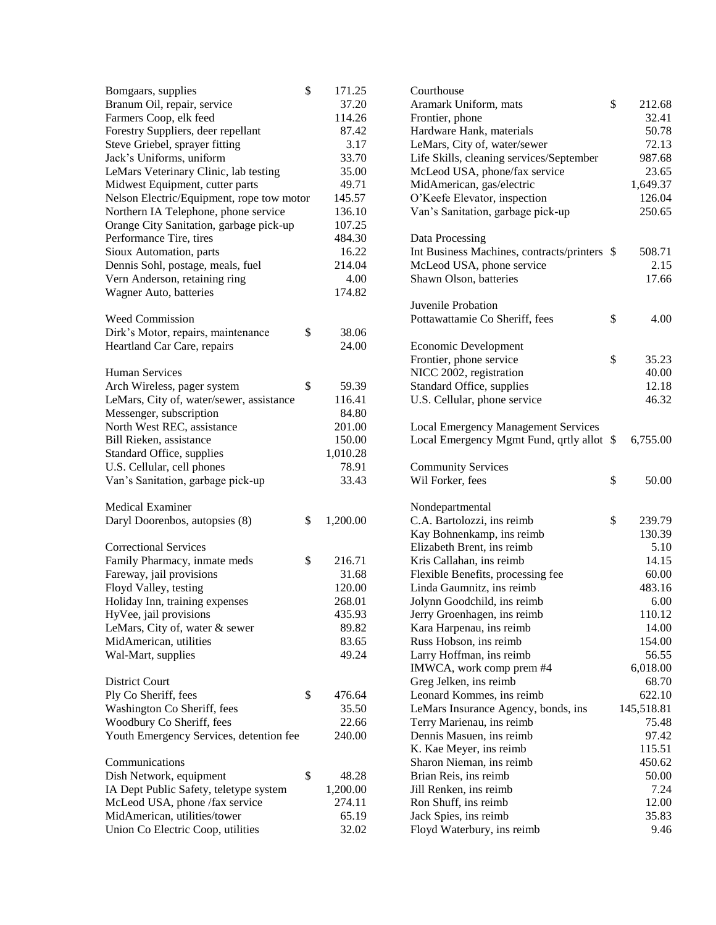| Bomgaars, supplies                        | \$<br>171.25<br>37.20 |
|-------------------------------------------|-----------------------|
| Branum Oil, repair, service               | 114.26                |
| Farmers Coop, elk feed                    |                       |
| Forestry Suppliers, deer repellant        | 87.42                 |
| Steve Griebel, sprayer fitting            | 3.17                  |
| Jack's Uniforms, uniform                  | 33.70                 |
| LeMars Veterinary Clinic, lab testing     | 35.00                 |
| Midwest Equipment, cutter parts           | 49.71                 |
| Nelson Electric/Equipment, rope tow motor | 145.57                |
| Northern IA Telephone, phone service      | 136.10                |
| Orange City Sanitation, garbage pick-up   | 107.25                |
| Performance Tire, tires                   | 484.30                |
| Sioux Automation, parts                   | 16.22                 |
| Dennis Sohl, postage, meals, fuel         | 214.04                |
| Vern Anderson, retaining ring             | 4.00                  |
| Wagner Auto, batteries                    | 174.82                |
|                                           |                       |
| <b>Weed Commission</b>                    |                       |
| Dirk's Motor, repairs, maintenance        | \$<br>38.06           |
| Heartland Car Care, repairs               | 24.00                 |
|                                           |                       |
| <b>Human Services</b>                     |                       |
| Arch Wireless, pager system               | \$<br>59.39           |
| LeMars, City of, water/sewer, assistance  | 116.41                |
| Messenger, subscription                   | 84.80                 |
| North West REC, assistance                |                       |
|                                           | 201.00                |
| Bill Rieken, assistance                   | 150.00                |
| Standard Office, supplies                 | 1,010.28              |
| U.S. Cellular, cell phones                | 78.91                 |
| Van's Sanitation, garbage pick-up         | 33.43                 |
| <b>Medical Examiner</b>                   |                       |
| Daryl Doorenbos, autopsies (8)            | \$<br>1,200.00        |
|                                           |                       |
| <b>Correctional Services</b>              |                       |
| Family Pharmacy, inmate meds              | \$<br>216.71          |
| Fareway, jail provisions                  | 31.68                 |
| Floyd Valley, testing                     | 120.00                |
| Holiday Inn, training expenses            | 268.01                |
|                                           |                       |
| HyVee, jail provisions                    | 435.93                |
| LeMars, City of, water & sewer            | 89.82                 |
| MidAmerican, utilities                    | 83.65                 |
| Wal-Mart, supplies                        | 49.24                 |
|                                           |                       |
| <b>District Court</b>                     |                       |
| Ply Co Sheriff, fees                      | \$<br>476.64          |
| Washington Co Sheriff, fees               | 35.50                 |
| Woodbury Co Sheriff, fees                 | 22.66                 |
| Youth Emergency Services, detention fee   | 240.00                |
| Communications                            |                       |
|                                           |                       |
| Dish Network, equipment                   | \$<br>48.28           |
| IA Dept Public Safety, teletype system    | 1,200.00              |
| McLeod USA, phone /fax service            | 274.11                |
| MidAmerican, utilities/tower              | 65.19                 |
| Union Co Electric Coop, utilities         | 32.02                 |

| Courthouse                                 |    |            |
|--------------------------------------------|----|------------|
| Aramark Uniform, mats                      | \$ | 212.68     |
| Frontier, phone                            |    | 32.41      |
| Hardware Hank, materials                   |    | 50.78      |
| LeMars, City of, water/sewer               |    | 72.13      |
| Life Skills, cleaning services/September   |    | 987.68     |
| McLeod USA, phone/fax service              |    | 23.65      |
| MidAmerican, gas/electric                  |    | 1,649.37   |
| O'Keefe Elevator, inspection               |    | 126.04     |
| Van's Sanitation, garbage pick-up          |    | 250.65     |
| Data Processing                            |    |            |
| Int Business Machines, contracts/printers  | -S | 508.71     |
| McLeod USA, phone service                  |    | 2.15       |
| Shawn Olson, batteries                     |    | 17.66      |
| Juvenile Probation                         |    |            |
| Pottawattamie Co Sheriff, fees             | \$ | 4.00       |
|                                            |    |            |
| <b>Economic Development</b>                |    |            |
| Frontier, phone service                    | \$ | 35.23      |
| NICC 2002, registration                    |    | 40.00      |
| Standard Office, supplies                  |    | 12.18      |
| U.S. Cellular, phone service               |    | 46.32      |
| <b>Local Emergency Management Services</b> |    |            |
| Local Emergency Mgmt Fund, qrtly allot     | \$ | 6,755.00   |
| <b>Community Services</b>                  |    |            |
| Wil Forker, fees                           | \$ | 50.00      |
|                                            |    |            |
| Nondepartmental                            |    |            |
| C.A. Bartolozzi, ins reimb                 | \$ | 239.79     |
| Kay Bohnenkamp, ins reimb                  |    | 130.39     |
| Elizabeth Brent, ins reimb                 |    | 5.10       |
| Kris Callahan, ins reimb                   |    | 14.15      |
| Flexible Benefits, processing fee          |    | 60.00      |
| Linda Gaumnitz, ins reimb                  |    | 483.16     |
| Jolynn Goodchild, ins reimb                |    | 6.00       |
| Jerry Groenhagen, ins reimb                |    | 110.12     |
| Kara Harpenau, ins reimb                   |    | 14.00      |
| Russ Hobson, ins reimb                     |    | 154.00     |
| Larry Hoffman, ins reimb                   |    | 56.55      |
| IMWCA, work comp prem #4                   |    | 6,018.00   |
| Greg Jelken, ins reimb                     |    | 68.70      |
| Leonard Kommes, ins reimb                  |    | 622.10     |
| LeMars Insurance Agency, bonds, ins        |    | 145,518.81 |
| Terry Marienau, ins reimb                  |    | 75.48      |
| Dennis Masuen, ins reimb                   |    | 97.42      |
| K. Kae Meyer, ins reimb                    |    | 115.51     |
| Sharon Nieman, ins reimb                   |    | 450.62     |
| Brian Reis, ins reimb                      |    | 50.00      |
| Jill Renken, ins reimb                     |    | 7.24       |
| Ron Shuff, ins reimb                       |    | 12.00      |
| Jack Spies, ins reimb                      |    | 35.83      |
| Floyd Waterbury, ins reimb                 |    | 9.46       |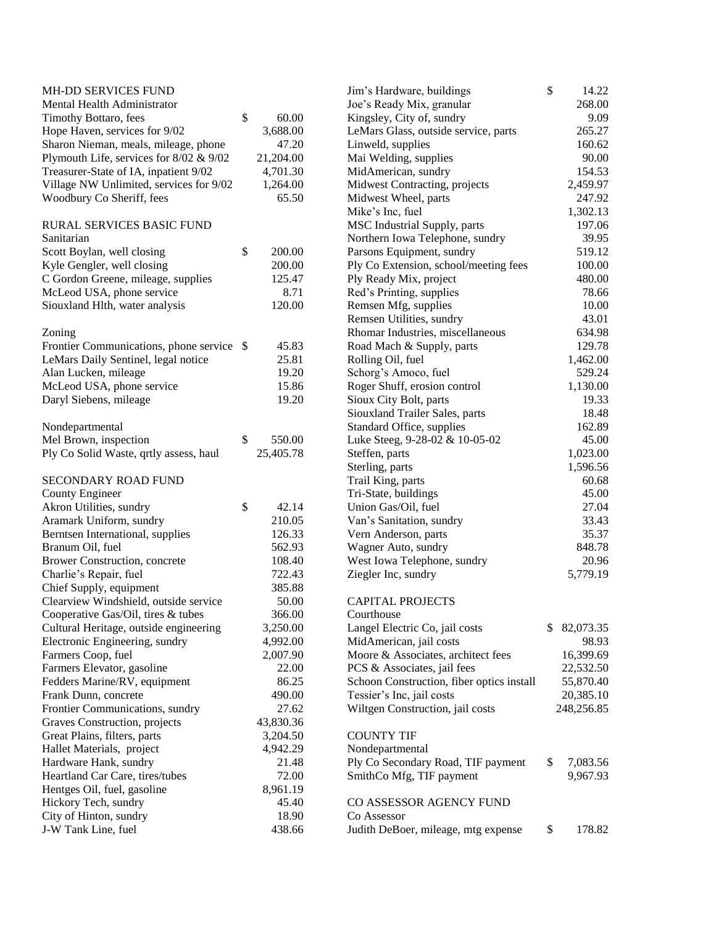| MH-DD SERVICES FUND                                |              | Jim's Hardware, buildings                 | \$<br>14.22     |
|----------------------------------------------------|--------------|-------------------------------------------|-----------------|
| Mental Health Administrator                        |              | Joe's Ready Mix, granular                 | 268.00          |
| Timothy Bottaro, fees                              | \$<br>60.00  | Kingsley, City of, sundry                 | 9.09            |
| Hope Haven, services for 9/02                      | 3,688.00     | LeMars Glass, outside service, parts      | 265.27          |
| Sharon Nieman, meals, mileage, phone               | 47.20        | Linweld, supplies                         | 160.62          |
| Plymouth Life, services for 8/02 & 9/02            | 21,204.00    | Mai Welding, supplies                     | 90.00           |
| Treasurer-State of IA, inpatient 9/02              | 4,701.30     | MidAmerican, sundry                       | 154.53          |
| Village NW Unlimited, services for 9/02            | 1,264.00     | Midwest Contracting, projects             | 2,459.97        |
| Woodbury Co Sheriff, fees                          | 65.50        | Midwest Wheel, parts                      | 247.92          |
|                                                    |              | Mike's Inc, fuel                          | 1,302.13        |
| RURAL SERVICES BASIC FUND                          |              | MSC Industrial Supply, parts              | 197.06          |
| Sanitarian                                         |              | Northern Iowa Telephone, sundry           | 39.95           |
| Scott Boylan, well closing                         | \$<br>200.00 | Parsons Equipment, sundry                 | 519.12          |
| Kyle Gengler, well closing                         | 200.00       | Ply Co Extension, school/meeting fees     | 100.00          |
| C Gordon Greene, mileage, supplies                 | 125.47       | Ply Ready Mix, project                    | 480.00          |
|                                                    | 8.71         |                                           | 78.66           |
| McLeod USA, phone service                          |              | Red's Printing, supplies                  |                 |
| Siouxland Hlth, water analysis                     | 120.00       | Remsen Mfg, supplies                      | 10.00           |
|                                                    |              | Remsen Utilities, sundry                  | 43.01           |
| Zoning                                             |              | Rhomar Industries, miscellaneous          | 634.98          |
| Frontier Communications, phone service \$          | 45.83        | Road Mach & Supply, parts                 | 129.78          |
| LeMars Daily Sentinel, legal notice                | 25.81        | Rolling Oil, fuel                         | 1,462.00        |
| Alan Lucken, mileage                               | 19.20        | Schorg's Amoco, fuel                      | 529.24          |
| McLeod USA, phone service                          | 15.86        | Roger Shuff, erosion control              | 1,130.00        |
| Daryl Siebens, mileage                             | 19.20        | Sioux City Bolt, parts                    | 19.33           |
|                                                    |              | Siouxland Trailer Sales, parts            | 18.48           |
| Nondepartmental                                    |              | Standard Office, supplies                 | 162.89          |
| Mel Brown, inspection                              | \$<br>550.00 | Luke Steeg, 9-28-02 & 10-05-02            | 45.00           |
| Ply Co Solid Waste, qrtly assess, haul             | 25,405.78    | Steffen, parts                            | 1,023.00        |
|                                                    |              | Sterling, parts                           | 1,596.56        |
| SECONDARY ROAD FUND                                |              | Trail King, parts                         | 60.68           |
| County Engineer                                    |              | Tri-State, buildings                      | 45.00           |
| Akron Utilities, sundry                            | \$<br>42.14  | Union Gas/Oil, fuel                       | 27.04           |
| Aramark Uniform, sundry                            | 210.05       | Van's Sanitation, sundry                  | 33.43           |
| Berntsen International, supplies                   | 126.33       | Vern Anderson, parts                      | 35.37           |
| Branum Oil, fuel                                   | 562.93       | Wagner Auto, sundry                       | 848.78          |
| Brower Construction, concrete                      | 108.40       | West Iowa Telephone, sundry               | 20.96           |
| Charlie's Repair, fuel                             | 722.43       | Ziegler Inc, sundry                       | 5,779.19        |
| Chief Supply, equipment                            | 385.88       |                                           |                 |
| Clearview Windshield, outside service              | 50.00        | <b>CAPITAL PROJECTS</b>                   |                 |
| Cooperative Gas/Oil, tires & tubes                 | 366.00       | Courthouse                                |                 |
| Cultural Heritage, outside engineering             | 3,250.00     | Langel Electric Co, jail costs            | \$<br>82,073.35 |
| Electronic Engineering, sundry                     | 4,992.00     | MidAmerican, jail costs                   | 98.93           |
| Farmers Coop, fuel                                 | 2,007.90     | Moore & Associates, architect fees        | 16,399.69       |
| Farmers Elevator, gasoline                         | 22.00        | PCS & Associates, jail fees               | 22,532.50       |
| Fedders Marine/RV, equipment                       | 86.25        | Schoon Construction, fiber optics install | 55,870.40       |
| Frank Dunn, concrete                               | 490.00       | Tessier's Inc, jail costs                 | 20,385.10       |
| Frontier Communications, sundry                    | 27.62        | Wiltgen Construction, jail costs          | 248,256.85      |
| Graves Construction, projects                      | 43,830.36    |                                           |                 |
| Great Plains, filters, parts                       | 3,204.50     | <b>COUNTY TIF</b>                         |                 |
|                                                    | 4,942.29     | Nondepartmental                           |                 |
| Hallet Materials, project<br>Hardware Hank, sundry | 21.48        | Ply Co Secondary Road, TIF payment        | \$<br>7,083.56  |
|                                                    |              |                                           |                 |
| Heartland Car Care, tires/tubes                    | 72.00        | SmithCo Mfg, TIF payment                  | 9,967.93        |
| Hentges Oil, fuel, gasoline                        | 8,961.19     |                                           |                 |
| Hickory Tech, sundry                               | 45.40        | CO ASSESSOR AGENCY FUND                   |                 |
| City of Hinton, sundry                             | 18.90        | Co Assessor                               |                 |
| J-W Tank Line, fuel                                | 438.66       | Judith DeBoer, mileage, mtg expense       | \$<br>178.82    |